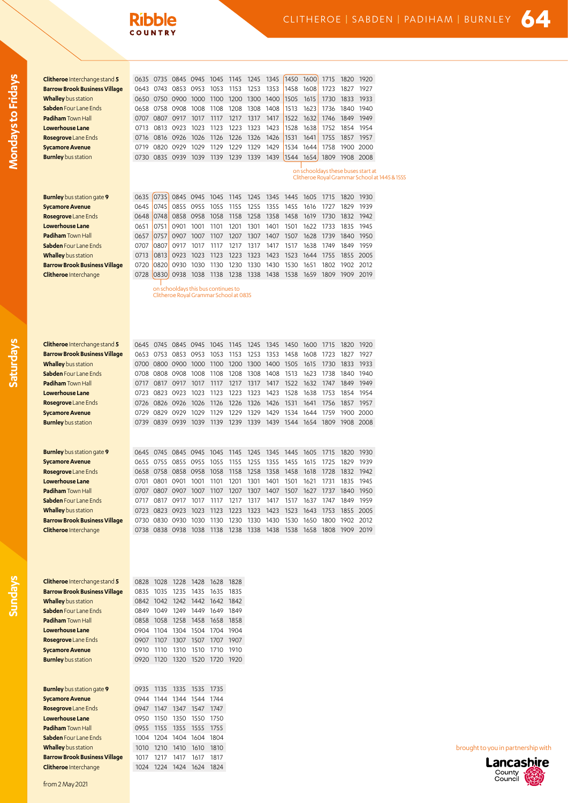## **Ribble**

| Clitheroe Interchange stand 5                     | 0635         | 0735                   | 0845                                                             | 0945         | 1045         | 1145         | 1245                | 1345         | 1450              | 1600                                                                                | 1715         | 1820           | 1920         |
|---------------------------------------------------|--------------|------------------------|------------------------------------------------------------------|--------------|--------------|--------------|---------------------|--------------|-------------------|-------------------------------------------------------------------------------------|--------------|----------------|--------------|
| <b>Barrow Brook Business Village</b>              |              | 0643 0743              | 0853                                                             | 0953         | 1053         | 1153         | 1253                | 1353         | 1458              | 1608                                                                                | 1723         | 1827           | 1927         |
| <b>Whalley</b> bus station                        |              |                        | 0650 0750 0900                                                   | 1000         | 1100         | 1200         | 1300                | 1400         | 1505              | 1615                                                                                | 1730         | 1833           | 1933         |
| <b>Sabden</b> Four Lane Ends                      |              | 0658 0758 0908         |                                                                  | 1008         | 1108         | 1208         | 1308                | 1408         | 1513              | 1623                                                                                | 1736         |                | 1840 1940    |
| <b>Padiham</b> Town Hall                          |              | 0707 0807 0917         |                                                                  | 1017         | 1117         | 1217         | 1317                | 1417         | 1522              | 1632                                                                                | 1746         | 1849           | 1949         |
| Lowerhouse Lane                                   | 0713         | 0813                   | 0923                                                             | 1023         | 1123         | 1223         | 1323                | 1423         | 1528              | 1638                                                                                | 1752         | 1854           | 1954         |
| Rosegrove Lane Ends                               | 0716         |                        | 0816 0926                                                        | 1026         | 1126         | 1226         | 1326                | 1426         | 1531              | 1641                                                                                | 1755         | 1857           | 1957         |
| <b>Sycamore Avenue</b>                            | 0719         | 0820 0929              |                                                                  | 1029         | 1129         | 1229         | 1329                | 1429         | 1534              | 1644                                                                                | 1758         |                | 1900 2000    |
| <b>Burnley</b> bus station                        |              | 0730 0835 0939         |                                                                  | 1039         | 1139         | 1239         | 1339                | 1439         | 1544              | 1654                                                                                | 1809         |                | 1908 2008    |
|                                                   |              |                        |                                                                  |              |              |              |                     |              |                   | on schooldays these buses start at<br>Clitheroe Royal Grammar School at 1445 & 1555 |              |                |              |
|                                                   |              |                        |                                                                  |              |              |              |                     |              |                   |                                                                                     |              |                |              |
| <b>Burnley</b> bus station gate 9                 | 0635         | 0735                   |                                                                  | 0845 0945    | 1045         | 1145         | 1245                | 1345         | 1445              | 1605                                                                                | 1715         | 1820           | 1930         |
| <b>Sycamore Avenue</b>                            | 0645<br>0648 | 0745<br>0748           | 0855<br>0858                                                     | 0955<br>0958 | 1055<br>1058 | 1155<br>1158 | 1255<br>1258        | 1355<br>1358 | 1455<br>1458      | 1616<br>1619                                                                        | 1727<br>1730 | 1829<br>1832   | 1939<br>1942 |
| Rosegrove Lane Ends<br>Lowerhouse Lane            | 0651         | 0751                   | 0901                                                             | 1001         | 1101         | 1201         | 1301                | 1401         | 1501              | 1622                                                                                | 1733         | 1835           | 1945         |
| <b>Padiham Town Hall</b>                          | 0657         | 0757                   | 0907                                                             | 1007         | 1107         | 1207         | 1307                | 1407         | 1507              | 1628                                                                                | 1739         | 1840 1950      |              |
| Sabden Four Lane Ends                             | 0707         | 0807                   | 0917                                                             | 1017         | 1117         | 1217         | 1317                | 1417         | 1517              | 1638                                                                                | 1749         | 1849           | 1959         |
| <b>Whalley</b> bus station                        | 0713         | 0813                   | 0923                                                             | 1023         | 1123         | 1223         | 1323                | 1423         | 1523              | 1644                                                                                | 1755         | 1855           | 2005         |
| <b>Barrow Brook Business Village</b>              | 0720         | 0820                   | 0930                                                             | 1030         | 1130         | 1230         | 1330                | 1430         | 1530              | 1651                                                                                | 1802         | 1902           | 2012         |
| <b>Clitheroe</b> Interchange                      | 0728         | 0830                   | 0938                                                             | 1038         | 1138 1238    |              | 1338 1438           |              | 1538 1659         |                                                                                     |              | 1809 1909 2019 |              |
|                                                   |              |                        | on schooldays this bus continues to                              |              |              |              |                     |              |                   |                                                                                     |              |                |              |
|                                                   |              |                        | Clitheroe Royal Grammar School at 0835                           |              |              |              |                     |              |                   |                                                                                     |              |                |              |
| <b>Clitheroe</b> Interchange stand 5              |              |                        | 0645 0745 0845 0945                                              |              | 1045         | 1145         | 1245                | 1345         | 1450              | 1600                                                                                | 1715         | 1820           | 1920         |
| <b>Barrow Brook Business Village</b>              |              |                        | 0653 0753 0853 0953                                              |              | 1053         | 1153         | 1253                | 1353         | 1458              | 1608                                                                                | 1723         | 1827           | 1927         |
| <b>Whalley</b> bus station                        |              |                        | 0700 0800 0900                                                   | 1000         | 1100         | 1200         | 1300                | 1400         | 1505              | 1615                                                                                | 1730         | 1833           | 1933         |
| Sabden Four Lane Ends                             |              | 0708 0808 0908         |                                                                  | 1008         | 1108         | 1208         | 1308                | 1408         | 1513              | 1623                                                                                | 1738         | 1840           | 1940         |
| Padiham Town Hall<br>Lowerhouse Lane              | 0717<br>0723 | 0817 0917<br>0823 0923 |                                                                  | 1017<br>1023 | 1117<br>1123 | 1217<br>1223 | 1317<br>1323        | 1417<br>1423 | 1522 1632<br>1528 | 1638                                                                                | 1747<br>1753 | 1849<br>1854   | 1949<br>1954 |
| <b>Rosegrove</b> Lane Ends                        | 0726         | 0826 0926              |                                                                  | 1026         | 1126         | 1226         | 1326                | 1426         | 1531              | 1641                                                                                | 1756         | 1857           | 1957         |
| <b>Sycamore Avenue</b>                            | 0729         | 0829                   | 0929                                                             | 1029         | 1129         | 1229         | 1329                | 1429         | 1534              | 1644                                                                                | 1759         | 1900           | 2000         |
| <b>Burnley</b> bus station                        |              | 0739 0839 0939         |                                                                  | 1039         | 1139         | 1239         | 1339 1439           |              |                   | 1544 1654 1809 1908 2008                                                            |              |                |              |
|                                                   |              |                        |                                                                  |              |              |              |                     |              |                   |                                                                                     |              |                |              |
| <b>Burnley</b> bus station gate 9                 |              |                        | 0645 0745 0845 0945                                              |              | 1045         | 1145         | 1245                | 1345         | 1445 1605         |                                                                                     | 1715         | 1820 1930      |              |
| <b>Sycamore Avenue</b>                            |              | 0655 0755              | 0855                                                             | 0955         | 1055         | 1155         | 1255                | 1355         | 1455              | 1615                                                                                | 1725         | 1829           | 1939         |
| <b>Rosegrove</b> Lane Ends                        | 0658         | 0758                   | 0858                                                             | 0958         | 1058         | 1158         | 1258                | 1358         | 1458              | 1618                                                                                | 1728         | 1832           | 1942         |
| <b>Lowerhouse Lane</b>                            |              | 0701 0801 0901         |                                                                  | 1001         | 1101         | 1201         | 1301                | 1401         | 1501 1621         |                                                                                     | 1731         | 1835 1945      |              |
| Padiham Town Hall                                 |              |                        | 0707 0807 0907 1007 1107 1207 1307 1407 1507 1627 1737 1840 1950 |              |              |              |                     |              |                   |                                                                                     |              |                |              |
| Sabden Four Lane Ends                             |              |                        | 0717 0817 0917 1017                                              |              |              |              | 1117 1217 1317 1417 |              |                   | 1517 1637 1747 1849                                                                 |              |                | 1959         |
| <b>Whalley</b> bus station                        |              |                        | 0723 0823 0923 1023                                              |              | 1123         | 1223         | 1323 1423           |              |                   | 1523 1643 1753                                                                      |              | 1855 2005      |              |
| <b>Barrow Brook Business Village</b>              |              |                        | 0730 0830 0930 1030 1130 1230 1330 1430 1530 1650 1800 1902 2012 |              |              |              |                     |              |                   |                                                                                     |              |                |              |
| <b>Clitheroe</b> Interchange                      |              |                        | 0738 0838 0938 1038 1138 1238 1338 1438 1538 1658 1808 1909 2019 |              |              |              |                     |              |                   |                                                                                     |              |                |              |
| <b>Clitheroe</b> Interchange stand 5              |              |                        | 0828 1028 1228 1428 1628 1828                                    |              |              |              |                     |              |                   |                                                                                     |              |                |              |
| <b>Barrow Brook Business Village</b>              |              |                        | 0835 1035 1235 1435 1635 1835                                    |              |              |              |                     |              |                   |                                                                                     |              |                |              |
| Whalley bus station                               |              |                        | 0842 1042 1242 1442 1642 1842                                    |              |              |              |                     |              |                   |                                                                                     |              |                |              |
| Sabden Four Lane Ends<br><b>Padiham</b> Town Hall |              |                        | 0849 1049 1249 1449 1649 1849                                    |              |              |              |                     |              |                   |                                                                                     |              |                |              |
| Lowerhouse Lane                                   |              |                        | 0858 1058 1258 1458 1658 1858                                    |              |              |              |                     |              |                   |                                                                                     |              |                |              |
|                                                   |              |                        | 0904 1104 1304 1504 1704 1904                                    |              |              |              |                     |              |                   |                                                                                     |              |                |              |
| Rosegrove Lane Ends                               |              |                        | 0907 1107 1307 1507 1707 1907                                    |              |              |              |                     |              |                   |                                                                                     |              |                |              |
| <b>Sycamore Avenue</b>                            |              |                        | 0910 1110 1310 1510 1710 1910                                    |              |              |              |                     |              |                   |                                                                                     |              |                |              |
| <b>Burnley</b> bus station                        |              |                        | 0920 1120 1320 1520 1720 1920                                    |              |              |              |                     |              |                   |                                                                                     |              |                |              |
| <b>Burnley</b> bus station gate 9                 |              |                        | 0935 1135 1335 1535 1735                                         |              |              |              |                     |              |                   |                                                                                     |              |                |              |
| <b>Sycamore Avenue</b>                            |              |                        | 0944 1144 1344 1544 1744                                         |              |              |              |                     |              |                   |                                                                                     |              |                |              |
| Rosegrove Lane Ends                               |              |                        | 0947 1147 1347 1547 1747                                         |              |              |              |                     |              |                   |                                                                                     |              |                |              |
| Lowerhouse Lane                                   |              |                        | 0950 1150 1350 1550 1750                                         |              |              |              |                     |              |                   |                                                                                     |              |                |              |
| <b>Padiham</b> Town Hall                          |              |                        | 0955 1155 1355 1555                                              |              | 1755         |              |                     |              |                   |                                                                                     |              |                |              |
| Sabden Four Lane Ends                             |              |                        | 1004 1204 1404 1604 1804                                         |              |              |              |                     |              |                   |                                                                                     |              |                |              |
| Whalley bus station                               |              |                        | 1010 1210 1410 1610 1810                                         |              |              |              |                     |              |                   |                                                                                     |              |                |              |
| <b>Barrow Brook Business Village</b>              |              |                        | 1017 1217 1417 1617 1817                                         |              |              |              |                     |              |                   |                                                                                     |              |                |              |

**Clitheroe** Interchange 1024 1224 1424 1624 1824